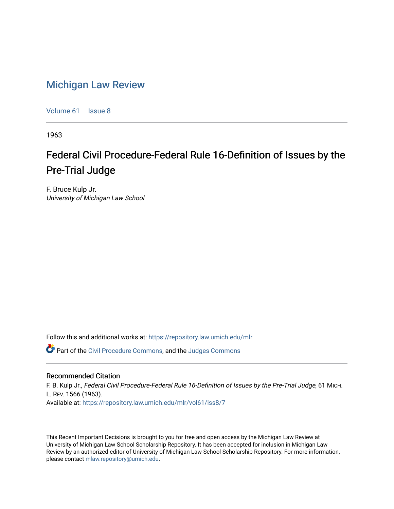## [Michigan Law Review](https://repository.law.umich.edu/mlr)

[Volume 61](https://repository.law.umich.edu/mlr/vol61) | [Issue 8](https://repository.law.umich.edu/mlr/vol61/iss8)

1963

## Federal Civil Procedure-Federal Rule 16-Definition of Issues by the Pre-Trial Judge

F. Bruce Kulp Jr. University of Michigan Law School

Follow this and additional works at: [https://repository.law.umich.edu/mlr](https://repository.law.umich.edu/mlr?utm_source=repository.law.umich.edu%2Fmlr%2Fvol61%2Fiss8%2F7&utm_medium=PDF&utm_campaign=PDFCoverPages) 

Part of the [Civil Procedure Commons,](http://network.bepress.com/hgg/discipline/584?utm_source=repository.law.umich.edu%2Fmlr%2Fvol61%2Fiss8%2F7&utm_medium=PDF&utm_campaign=PDFCoverPages) and the [Judges Commons](http://network.bepress.com/hgg/discipline/849?utm_source=repository.law.umich.edu%2Fmlr%2Fvol61%2Fiss8%2F7&utm_medium=PDF&utm_campaign=PDFCoverPages) 

## Recommended Citation

F. B. Kulp Jr., Federal Civil Procedure-Federal Rule 16-Definition of Issues by the Pre-Trial Judge, 61 MICH. L. REV. 1566 (1963). Available at: [https://repository.law.umich.edu/mlr/vol61/iss8/7](https://repository.law.umich.edu/mlr/vol61/iss8/7?utm_source=repository.law.umich.edu%2Fmlr%2Fvol61%2Fiss8%2F7&utm_medium=PDF&utm_campaign=PDFCoverPages)

This Recent Important Decisions is brought to you for free and open access by the Michigan Law Review at University of Michigan Law School Scholarship Repository. It has been accepted for inclusion in Michigan Law Review by an authorized editor of University of Michigan Law School Scholarship Repository. For more information, please contact [mlaw.repository@umich.edu.](mailto:mlaw.repository@umich.edu)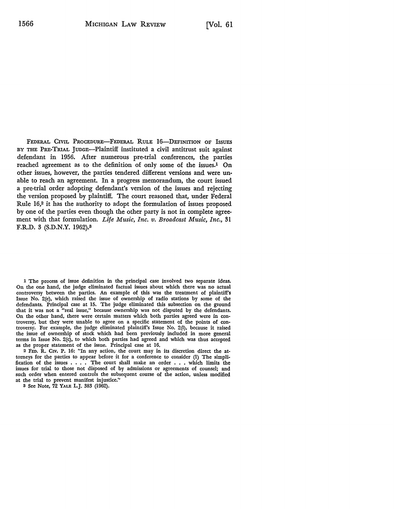FEDERAL CIVIL PROCEDURE-FEDERAL RULE 16-DEFINITION OF ISSUES BY THE PRE-TRIAL JUDGE-Plaintiff instituted a civil antitrust suit against defendant in 1956. After numerous pre-trial conferences, the parties reached agreement as to the definition of only some of the issues.1 On other issues, however, the parties tendered different versions and were unable to reach an agreement. In a progress memorandum, the court issued a pre-trial order adopting defendant's version of the issues and rejecting the version proposed by plaintiff. The court reasoned that, under Federal Rule 16,2 it has the authority to adopt the formulation of issues proposed by one of the parties even though the other party is not in complete agreement with that formulation. *Life Music*, Inc. v. Broadcast Music, Inc., 31 F.R.D. 8 (S.D.N.Y. 1962).<sup>3</sup>

1 The process of issue definition in the principal case involved two separate ideas. On the one hand, the judge eliminated factual issues about which there was no actual controversy between the parties. An example of this was the treatment of plaintiff's Issue No. 2(e), which raised the issue of ownership of radio stations by some of the defendants. Principal case at 15. The judge eliminated this subsection on the ground that it was not a "real issue," because ownership was not disputed by the defendants. On the other hand, there were certain matters which both parties agreed were in controversy, but they were unable to agree on a specific statement of the points of controversy. For example, the judge eliminated plaintiff's Issue No. 2(1), because it raised the issue of ownership of stock which had been previously included in more general terms in Issue No. 2(c), to which both parties had agreed and which was thus accepted as the proper statement of the issue. Principal case at 16.

2 FED. R. CIV. P. 16: "In any action, the court may in its discretion direct the at• tomeys for the parties to appear before it for a conference to consider (1) The simpli• fication of the issues  $\ldots$ . The court shall make an order  $\ldots$  which limits the issues for trial to those not disposed of by admissions or agreements of counsel: and such order when entered controls the subsequent course of the action, unless modified at the trial to prevent manifest injustice.''

8 See Note, 72 YALE L.J. 383 (1962).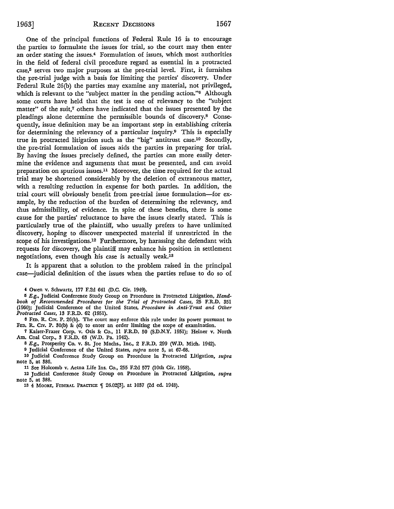One of the principal functions of Federal Rule 16 is to encourage the parties to formulate the issues for trial, so the court may then enter an order stating the issues.4 Formulation of issues, which most authorities in the field of federal civil procedure regard as essential in a protracted  $case<sub>5</sub>$  serves two major purposes at the pre-trial level. First, it furnishes the pre-trial judge with a basis for limiting the parties' discovery. Under Federal Rule 26(b) the parties may examine any material, not privileged, which is relevant to the "subject matter in the pending action."6 Although some courts have held that the test is one of relevancy to the "subject matter" of the suit,<sup>7</sup> others have indicated that the issues presented by the pleadings alone determine the permissible bounds of discovery.8 Consequently, issue definition may be an important step in establishing criteria for determining the relevancy of a particular inquiry.9 This is especially true in protracted litigation such as the "big" antitrust case.10 Secondly, the pre-trial formulation of issues aids the parties in preparing for trial. By having the issues precisely defined, the parties can more easily determine the evidence and arguments that must be presented, and can avoid preparation on spurious issues.11 Moreover, the time required for the actual trial may be shortened considerably by the deletion of extraneous matter, with a resulting reduction in expense for both parties. In addition, the trial court will obviously benefit from pre-trial issue formulation-for example, by the reduction of the burden of determining the relevancy, and thus admissibility, of evidence. In spite of these benefits, there is some cause for the parties' reluctance to have the issues clearly stated. This is particularly true of the plaintiff, who usually prefers to have unlimited discovery, hoping to discover unexpected material if unrestricted in the scope of his investigations.<sup>12</sup> Furthermore, by harassing the defendant with requests for discovery, the plaintiff may enhance his position in settlement negotiations, even though his case is actually weak.13

It is apparent that a solution to the problem raised in the principal case-judicial definition of the issues when the parties refuse to do so of

4 Owen v. Schwartz, 177 F.2d 641 (D.C. Cir. 1949).

<sup>5</sup> E.g., Judicial Conference Study Group on Procedure in Protracted Litigation, *Handbook of Recommended Procedures for the Trial of Protracted Cases,* 25 F.R.D. 351 (1960); Judicial Conference of the United States, *Procedure in Anti-Trust and Other Protracted Cases,* 13 F.R.D. 62 (1951).

<sup>6</sup>FED. R. CIV. P. 26(b). The court may enforce this rule under its power pursuant to FED. R. CIV. P. 30(b) & (d) to enter an order limiting the scope of examination.

7 Kaiser-Frazer Corp. v. Otis & Co., 11 F.R.D. 50 (S.D.N.Y. 1951); Heiner v. North Am. Coal Corp., 3 F.R.D. 63 (W.D. Pa. 1942).

8 E.g., Prosperity Co. v. St. Joe Machs., Inc., 2 F.R.D. 299 (W.D. Mich. 1942).

<sup>9</sup> Judicial Conference of the United States, *supra* note 5, at 67-68.

10 Judicial Conference Study Group on Procedure in Protracted Litigation, *supra*  note 5, at 386.

11 See Holcomb v. Aetna Life Ins. Co., 255 F.2d 577 (10th Cir. 1958).

12 Judicial Conference Study Group on Procedure in Protracted Litigation, *supra*  note 5, at 388.

13 4 MOORE, FEDERAL PRACTICE | 26.02[3], at 1037 (2d ed. 1948).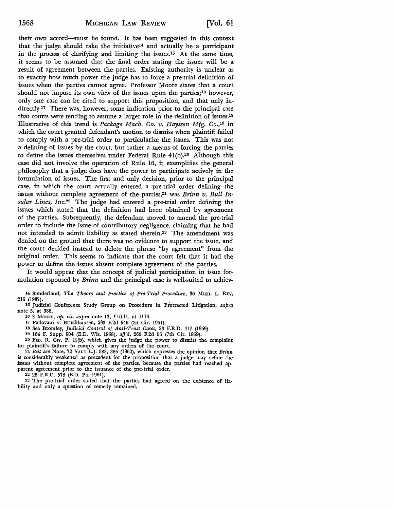their own accord-must be found. It has been suggested in this context that the judge should take the initiative<sup>14</sup> and actually be a participant in the process of clarifying and limiting the issues.<sup>15</sup> At the same time, it seems to be assumed that the final order stating the issues will be a result of agreement between the parties. Existing authority is unclear as to exactly how much power the judge has to force a pre-trial definition of issues when the parties cannot agree. Professor Moore states that a court should not impose its own view of the issues upon the parties; $16$  however, only one case can be cited to support this proposition, and that only indirectly.17 There was, however, some indication prior to the principal case that courts were tending to assume a larger role in the definition of issues.18 Illustrative of this trend is *Package Mach. Co. v. Hayssen Mfg.* Co.,19 in which the court granted defendant's motion to dismiss when plaintiff failed to comply with a pre-trial order to particularize the issues. This was not a defining of issues by the court, but rather a means of forcing the parties to define the issues themselves under Federal Rule 4l(b).20 Although this case did not involve the operation of Rule 16, it exemplifies the general philosophy that a judge does have the power to participate actively in the formulation of issues. The first and only decision, prior to the principal case, in which the court actually entered a pre-trial order defining the issues without complete agreement of the parties,<sup>21</sup> was *Brinn v. Bull Insular Lines, Inc.22* The judge had entered a pre-trial order defining the issues which stated that the definition had been obtained by agreement of the parties. Subsequently, the defendant moved to amend the pre-trial order to include the issue of contributory negligence, claiming that he had not intended to admit liability as stated therein.23 The amendment was denied on the ground that there was no evidence to support the issue, and the court decided instead to delete the phrase "by agreement" from the original order. This seems to indicate that the court felt that it had the power to define the issues absent complete agreement of the parties.

It would appear that the concept of judicial participation in issue formulation espoused by *Brinn* and the principal case is well-suited to achiev-

14 Sunderland, *The Theory and Practice of Pre-Trial Procedure,* 36 MrcH. L. REv. 215 (1937). •

15 Judicial Conference Study Group on Procedure in Protracted Litigation, *supra*  note 5, at 388.

16 3 Moore, *op. cit. supra* note 13, [16.11, at 1116.

17 Padovani v. Bruchhausen, 293 F.2d 546 (2d Cir. 1961).

18 See Bromley, *Judicial Control of Anti-Trust Cases,* 23 F.R.D. 417 (1959).

10 164 F. Supp. 904 (E.D. Wis. 1958), *aff'd,* 266 F.2d 56 (7th Cir. 1959).

20 FED. R. Crv. P. 4l(b), which gives the judge the power to dismiss the complaint for plaintiff's failure to comply with any orders of the court.

21 *But see* Note, 72 YALE L.J. 383, 385 (1962), which expresses the opinion that *Brinn*  is considerably weakened as precedent for the proposition that a judge may define the issues without complete agreement of the parties, because the parties had reached apparent agreement prior to the issuance of the pre-trial order.

22 28 F.R.D. 578 (E.D. Pa. 1961).

23 The pre-trial order stated that the parties had agreed on the existence of liability and only a question of remedy remained.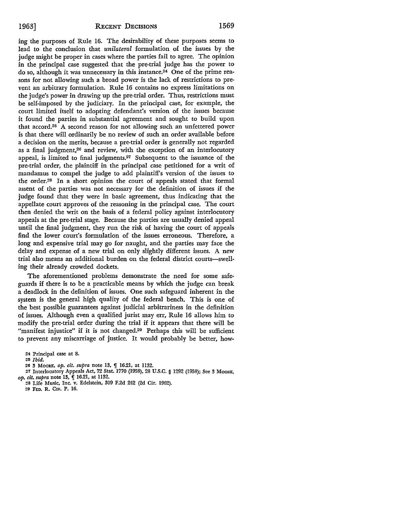ing the purposes of Rule 16. The desirability of these purposes seems to lead to the conclusion that *unilateral* formulation of the issues by the judge might be proper in cases where the parties fail to agree. The opinion in the principal case suggested that the pre-trial judge has the power to do so, although it was unnecessary in this instance.24 One of the prime reasons for not allowing such a broad power is the lack of restrictions to prevent an arbitrary formulation. Rule 16 contains no express limitations on the judge's powar in drawing up the pre-trial order. Thus, restrictions must be self-imposed by the judiciary. In the principal case, for example, the court limited itself to adopting defendant's version of the issues because it found the parties in substantial agreement and sought to build upon that accord.25 A second reason for not allowing such an unfettered power is that there will ordinarily be no review of such an order available before a decision on the merits, because a pre-trial order is generally not regarded as a final judgment,26 and review, with the exception of an interlocutory appeal, is limited to final judgments.<sup>27</sup> Subsequent to the issuance of the pre-trial order, the plaintiff in the principal case petitioned for a writ of mandamus to compel the judge to add plaintiff's version of the issues to the order.28 In a short opinion the court of appeals stated that formal assent of the parties was not necessary for the definition of issues if the judge found that they were in basic agreement, thus indicating that the appellate court approves of the reasoning in the principal case. The court then denied the writ on the basis of a federal policy against interlocutory appeals at the pre-trial stage. Because the parties are usually denied appeal until the final judgment, they run the risk of having the court of appeals find the lower court's formulation of the issues erroneous. Therefore, a long and expensive trial may go for naught, and the parties may face the delay and expense of a new trial on only slightly different issues. A new trial also means an additional burden on the federal district courts-swelling their already crowded dockets.

The aforementioned problems demonstrate the need for some safeguards if there is to be a practicable means by which the judge can break a deadlock in the definition of issues. One such safeguard inherent in the system is the general high quality of the federal bench. This is one of the best possible guarantees against judicial arbitrariness in the definition of issues. Although even a qualified jurist may err, Rule 16 allows him to modify the pre-trial order during the trial if it appears that there will be "manifest injustice" if it is not changed.29 Perhaps this will be sufficient to prevent any miscarriage of justice. It would probably be better, how-

24 Principal case at 8.

25 *Ibid.* 

- 26 3 Moore, op. cit. supra note 13, *[16.21, at 1132.*
- 27 Interlocutory Appeals Act, 72 Stat. 1770 (1958), 28 U.S.C. § 1292 (1958); See 3 MooRE,

*op. cit. supra* note 13,  $\int$  16.21, at 1132.

28 Life Music, Inc. v. Edelstein, 309 F.2d 242 (2d Cir. 1962). 20 FED. R. CIV. P. 16.